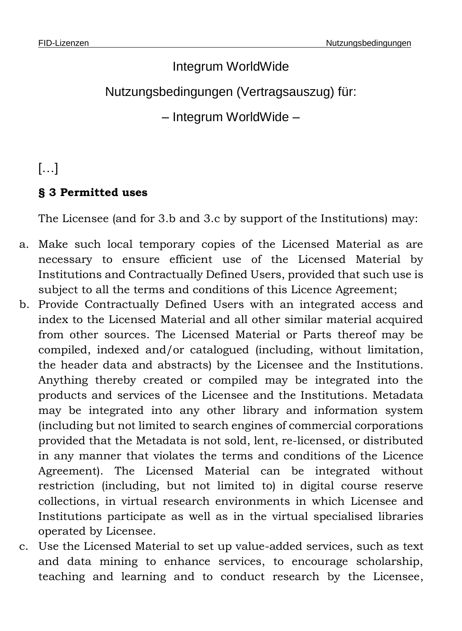# Integrum WorldWide Nutzungsbedingungen (Vertragsauszug) für: – Integrum WorldWide –

## […]

#### **§ 3 Permitted uses**

The Licensee (and for 3.b and 3.c by support of the Institutions) may:

- a. Make such local temporary copies of the Licensed Material as are necessary to ensure efficient use of the Licensed Material by Institutions and Contractually Defined Users, provided that such use is subject to all the terms and conditions of this Licence Agreement;
- b. Provide Contractually Defined Users with an integrated access and index to the Licensed Material and all other similar material acquired from other sources. The Licensed Material or Parts thereof may be compiled, indexed and/or catalogued (including, without limitation, the header data and abstracts) by the Licensee and the Institutions. Anything thereby created or compiled may be integrated into the products and services of the Licensee and the Institutions. Metadata may be integrated into any other library and information system (including but not limited to search engines of commercial corporations provided that the Metadata is not sold, lent, re-licensed, or distributed in any manner that violates the terms and conditions of the Licence Agreement). The Licensed Material can be integrated without restriction (including, but not limited to) in digital course reserve collections, in virtual research environments in which Licensee and Institutions participate as well as in the virtual specialised libraries operated by Licensee.
- c. Use the Licensed Material to set up value-added services, such as text and data mining to enhance services, to encourage scholarship, teaching and learning and to conduct research by the Licensee,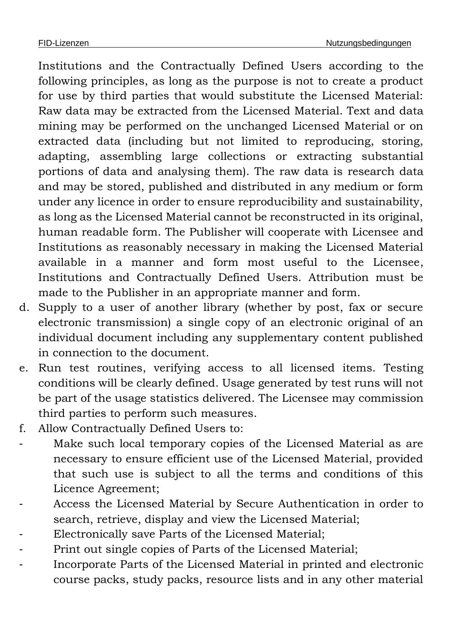Institutions and the Contractually Defined Users according to the following principles, as long as the purpose is not to create a product for use by third parties that would substitute the Licensed Material: Raw data may be extracted from the Licensed Material. Text and data mining may be performed on the unchanged Licensed Material or on extracted data (including but not limited to reproducing, storing, adapting, assembling large collections or extracting substantial portions of data and analysing them). The raw data is research data and may be stored, published and distributed in any medium or form under any licence in order to ensure reproducibility and sustainability, as long as the Licensed Material cannot be reconstructed in its original, human readable form. The Publisher will cooperate with Licensee and Institutions as reasonably necessary in making the Licensed Material available in a manner and form most useful to the Licensee, Institutions and Contractually Defined Users. Attribution must be made to the Publisher in an appropriate manner and form.

- d. Supply to a user of another library (whether by post, fax or secure electronic transmission) a single copy of an electronic original of an individual document including any supplementary content published in connection to the document.
- e. Run test routines, verifying access to all licensed items. Testing conditions will be clearly defined. Usage generated by test runs will not be part of the usage statistics delivered. The Licensee may commission third parties to perform such measures.
- f. Allow Contractually Defined Users to:
- Make such local temporary copies of the Licensed Material as are necessary to ensure efficient use of the Licensed Material, provided that such use is subject to all the terms and conditions of this Licence Agreement;
- Access the Licensed Material by Secure Authentication in order to search, retrieve, display and view the Licensed Material;
- Electronically save Parts of the Licensed Material;
- Print out single copies of Parts of the Licensed Material;
- Incorporate Parts of the Licensed Material in printed and electronic course packs, study packs, resource lists and in any other material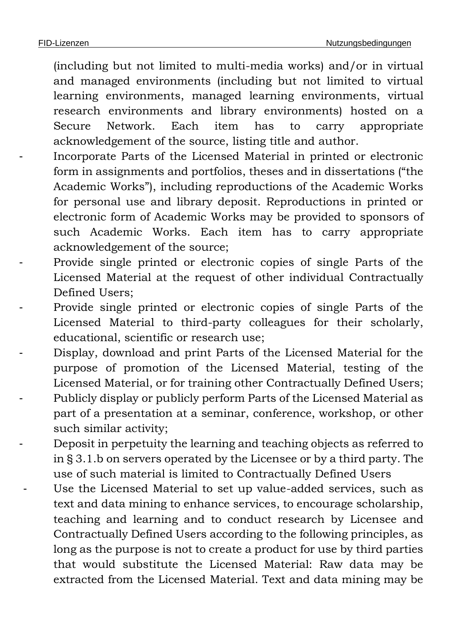(including but not limited to multi-media works) and/or in virtual and managed environments (including but not limited to virtual learning environments, managed learning environments, virtual research environments and library environments) hosted on a Secure Network. Each item has to carry appropriate acknowledgement of the source, listing title and author.

- Incorporate Parts of the Licensed Material in printed or electronic form in assignments and portfolios, theses and in dissertations ("the Academic Works"), including reproductions of the Academic Works for personal use and library deposit. Reproductions in printed or electronic form of Academic Works may be provided to sponsors of such Academic Works. Each item has to carry appropriate acknowledgement of the source;
- Provide single printed or electronic copies of single Parts of the Licensed Material at the request of other individual Contractually Defined Users;
- Provide single printed or electronic copies of single Parts of the Licensed Material to third-party colleagues for their scholarly, educational, scientific or research use;
- Display, download and print Parts of the Licensed Material for the purpose of promotion of the Licensed Material, testing of the Licensed Material, or for training other Contractually Defined Users; - Publicly display or publicly perform Parts of the Licensed Material as part of a presentation at a seminar, conference, workshop, or other such similar activity;
- Deposit in perpetuity the learning and teaching objects as referred to in § 3.1.b on servers operated by the Licensee or by a third party. The use of such material is limited to Contractually Defined Users
- Use the Licensed Material to set up value-added services, such as text and data mining to enhance services, to encourage scholarship, teaching and learning and to conduct research by Licensee and Contractually Defined Users according to the following principles, as long as the purpose is not to create a product for use by third parties that would substitute the Licensed Material: Raw data may be extracted from the Licensed Material. Text and data mining may be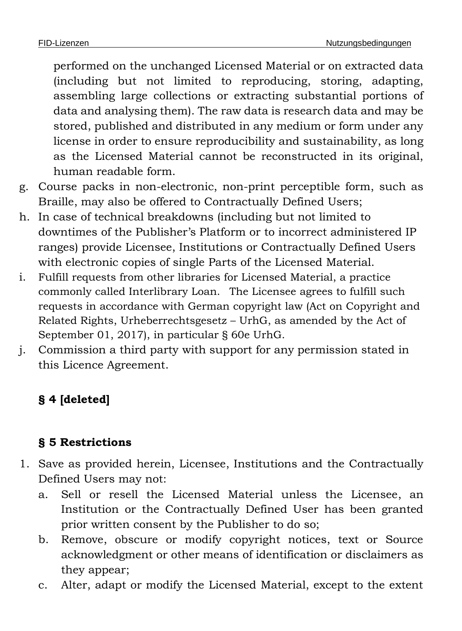performed on the unchanged Licensed Material or on extracted data (including but not limited to reproducing, storing, adapting, assembling large collections or extracting substantial portions of data and analysing them). The raw data is research data and may be stored, published and distributed in any medium or form under any license in order to ensure reproducibility and sustainability, as long as the Licensed Material cannot be reconstructed in its original, human readable form.

- g. Course packs in non-electronic, non-print perceptible form, such as Braille, may also be offered to Contractually Defined Users;
- h. In case of technical breakdowns (including but not limited to downtimes of the Publisher's Platform or to incorrect administered IP ranges) provide Licensee, Institutions or Contractually Defined Users with electronic copies of single Parts of the Licensed Material.
- i. Fulfill requests from other libraries for Licensed Material, a practice commonly called Interlibrary Loan. The Licensee agrees to fulfill such requests in accordance with German copyright law (Act on Copyright and Related Rights, Urheberrechtsgesetz – UrhG, as amended by the Act of September 01, 2017), in particular § 60e UrhG.
- j. Commission a third party with support for any permission stated in this Licence Agreement.

## **§ 4 [deleted]**

## **§ 5 Restrictions**

- 1. Save as provided herein, Licensee, Institutions and the Contractually Defined Users may not:
	- a. Sell or resell the Licensed Material unless the Licensee, an Institution or the Contractually Defined User has been granted prior written consent by the Publisher to do so;
	- b. Remove, obscure or modify copyright notices, text or Source acknowledgment or other means of identification or disclaimers as they appear;
	- c. Alter, adapt or modify the Licensed Material, except to the extent